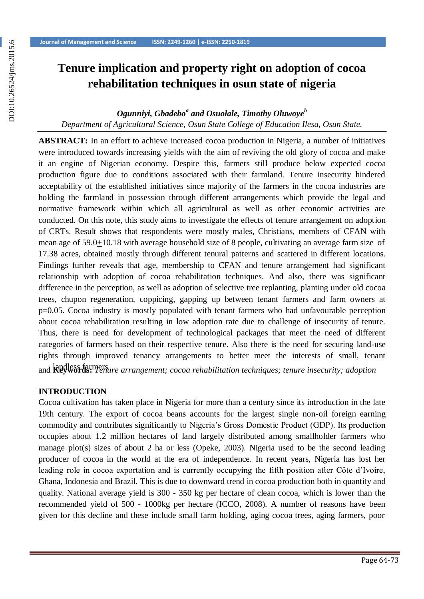# **Tenure implication and property right on adoption of cocoa rehabilitation techniques in osun state of nigeria**

# *Ogunniyi, Gbadebo<sup>a</sup> and Osuolale, Timothy Oluwoye<sup>b</sup> Department of Agricultural Science, Osun State College of Education Ilesa, Osun State.*

**ABSTRACT:** In an effort to achieve increased cocoa production in Nigeria, a number of initiatives were introduced towards increasing yields with the aim of reviving the old glory of cocoa and make it an engine of Nigerian economy. Despite this, farmers still produce below expected cocoa production figure due to conditions associated with their farmland. Tenure insecurity hindered acceptability of the established initiatives since majority of the farmers in the cocoa industries are holding the farmland in possession through different arrangements which provide the legal and normative framework within which all agricultural as well as other economic activities are conducted. On this note, this study aims to investigate the effects of tenure arrangement on adoption of CRTs. Result shows that respondents were mostly males, Christians, members of CFAN with mean age of 59.0+10.18 with average household size of 8 people, cultivating an average farm size of 17.38 acres, obtained mostly through different tenural patterns and scattered in different locations. Findings further reveals that age, membership to CFAN and tenure arrangement had significant relationship with adoption of cocoa rehabilitation techniques. And also, there was significant difference in the perception, as well as adoption of selective tree replanting, planting under old cocoa trees, chupon regeneration, coppicing, gapping up between tenant farmers and farm owners at p=0.05. Cocoa industry is mostly populated with tenant farmers who had unfavourable perception about cocoa rehabilitation resulting in low adoption rate due to challenge of insecurity of tenure. Thus, there is need for development of technological packages that meet the need of different categories of farmers based on their respective tenure. Also there is the need for securing land-use rights through improved tenancy arrangements to better meet the interests of small, tenant and **Reywords:** *Tenure arrangement; cocoa rehabilitation techniques; tenure insecurity; adoption* 

#### **INTRODUCTION**

Cocoa cultivation has taken place in Nigeria for more than a century since its introduction in the late 19th century. The export of cocoa beans accounts for the largest single non-oil foreign earning commodity and contributes significantly to Nigeria's Gross Domestic Product (GDP). Its production occupies about 1.2 million hectares of land largely distributed among smallholder farmers who manage plot(s) sizes of about 2 ha or less (Opeke, 2003). Nigeria used to be the second leading producer of cocoa in the world at the era of independence. In recent years, Nigeria has lost her leading role in cocoa exportation and is currently occupying the fifth position after Côte d'Ivoire, Ghana, Indonesia and Brazil. This is due to downward trend in cocoa production both in quantity and quality. National average yield is 300 - 350 kg per hectare of clean cocoa, which is lower than the recommended yield of 500 - 1000kg per hectare (ICCO, 2008). A number of reasons have been given for this decline and these include small farm holding, aging cocoa trees, aging farmers, poor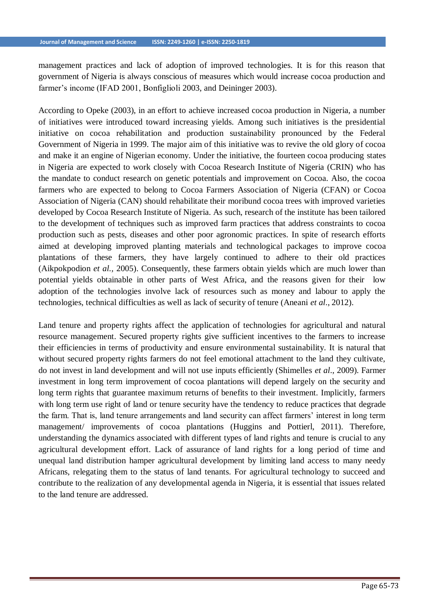management practices and lack of adoption of improved technologies. It is for this reason that government of Nigeria is always conscious of measures which would increase cocoa production and farmer's income (IFAD 2001, Bonfiglioli 2003, and Deininger 2003).

According to Opeke (2003), in an effort to achieve increased cocoa production in Nigeria, a number of initiatives were introduced toward increasing yields. Among such initiatives is the presidential initiative on cocoa rehabilitation and production sustainability pronounced by the Federal Government of Nigeria in 1999. The major aim of this initiative was to revive the old glory of cocoa and make it an engine of Nigerian economy. Under the initiative, the fourteen cocoa producing states in Nigeria are expected to work closely with Cocoa Research Institute of Nigeria (CRIN) who has the mandate to conduct research on genetic potentials and improvement on Cocoa. Also, the cocoa farmers who are expected to belong to Cocoa Farmers Association of Nigeria (CFAN) or Cocoa Association of Nigeria (CAN) should rehabilitate their moribund cocoa trees with improved varieties developed by Cocoa Research Institute of Nigeria. As such, research of the institute has been tailored to the development of techniques such as improved farm practices that address constraints to cocoa production such as pests, diseases and other poor agronomic practices. In spite of research efforts aimed at developing improved planting materials and technological packages to improve cocoa plantations of these farmers, they have largely continued to adhere to their old practices (Aikpokpodion *et al.,* 2005). Consequently, these farmers obtain yields which are much lower than potential yields obtainable in other parts of West Africa, and the reasons given for their low adoption of the technologies involve lack of resources such as money and labour to apply the technologies, technical difficulties as well as lack of security of tenure (Aneani *et al*., 2012).

Land tenure and property rights affect the application of technologies for agricultural and natural resource management. Secured property rights give sufficient incentives to the farmers to increase their efficiencies in terms of productivity and ensure environmental sustainability. It is natural that without secured property rights farmers do not feel emotional attachment to the land they cultivate, do not invest in land development and will not use inputs efficiently (Shimelles *et al*., 2009). Farmer investment in long term improvement of cocoa plantations will depend largely on the security and long term rights that guarantee maximum returns of benefits to their investment. Implicitly, farmers with long term use right of land or tenure security have the tendency to reduce practices that degrade the farm. That is, land tenure arrangements and land security can affect farmers' interest in long term management/ improvements of cocoa plantations (Huggins and Pottierl, 2011). Therefore, understanding the dynamics associated with different types of land rights and tenure is crucial to any agricultural development effort. Lack of assurance of land rights for a long period of time and unequal land distribution hamper agricultural development by limiting land access to many needy Africans, relegating them to the status of land tenants. For agricultural technology to succeed and contribute to the realization of any developmental agenda in Nigeria, it is essential that issues related to the land tenure are addressed.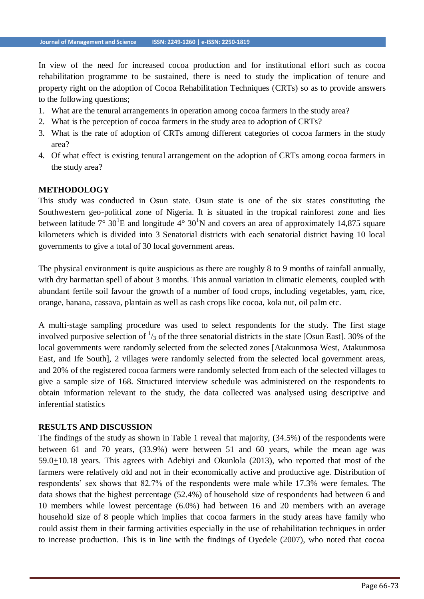In view of the need for increased cocoa production and for institutional effort such as cocoa rehabilitation programme to be sustained, there is need to study the implication of tenure and property right on the adoption of Cocoa Rehabilitation Techniques (CRTs) so as to provide answers to the following questions;

- 1. What are the tenural arrangements in operation among cocoa farmers in the study area?
- 2. What is the perception of cocoa farmers in the study area to adoption of CRTs?
- 3. What is the rate of adoption of CRTs among different categories of cocoa farmers in the study area?
- 4. Of what effect is existing tenural arrangement on the adoption of CRTs among cocoa farmers in the study area?

#### **METHODOLOGY**

This study was conducted in Osun state. Osun state is one of the six states constituting the Southwestern geo-political zone of Nigeria. It is situated in the tropical rainforest zone and lies between latitude  $7^{\circ}$  30<sup>1</sup>E and longitude 4° 30<sup>1</sup>N and covers an area of approximately 14,875 square kilometers which is divided into 3 Senatorial districts with each senatorial district having 10 local governments to give a total of 30 local government areas.

The physical environment is quite auspicious as there are roughly 8 to 9 months of rainfall annually, with dry harmattan spell of about 3 months. This annual variation in climatic elements, coupled with abundant fertile soil favour the growth of a number of food crops, including vegetables, yam, rice, orange, banana, cassava, plantain as well as cash crops like cocoa, kola nut, oil palm etc.

A multi-stage sampling procedure was used to select respondents for the study. The first stage involved purposive selection of  $\frac{1}{3}$  of the three senatorial districts in the state [Osun East]. 30% of the local governments were randomly selected from the selected zones [Atakunmosa West, Atakunmosa East, and Ife South], 2 villages were randomly selected from the selected local government areas, and 20% of the registered cocoa farmers were randomly selected from each of the selected villages to give a sample size of 168. Structured interview schedule was administered on the respondents to obtain information relevant to the study, the data collected was analysed using descriptive and inferential statistics

#### **RESULTS AND DISCUSSION**

The findings of the study as shown in Table 1 reveal that majority, (34.5%) of the respondents were between 61 and 70 years, (33.9%) were between 51 and 60 years, while the mean age was  $59.0 \pm 10.18$  years. This agrees with Adebiyi and Okunlola (2013), who reported that most of the farmers were relatively old and not in their economically active and productive age. Distribution of respondents' sex shows that 82.7% of the respondents were male while 17.3% were females. The data shows that the highest percentage (52.4%) of household size of respondents had between 6 and 10 members while lowest percentage (6.0%) had between 16 and 20 members with an average household size of 8 people which implies that cocoa farmers in the study areas have family who could assist them in their farming activities especially in the use of rehabilitation techniques in order to increase production. This is in line with the findings of Oyedele (2007), who noted that cocoa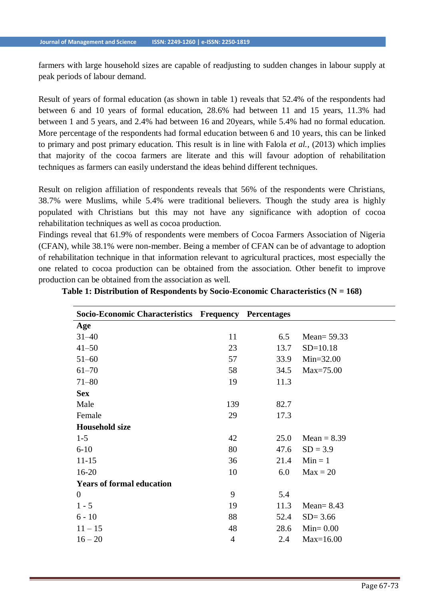farmers with large household sizes are capable of readjusting to sudden changes in labour supply at peak periods of labour demand.

Result of years of formal education (as shown in table 1) reveals that 52.4% of the respondents had between 6 and 10 years of formal education, 28.6% had between 11 and 15 years, 11.3% had between 1 and 5 years, and 2.4% had between 16 and 20years, while 5.4% had no formal education. More percentage of the respondents had formal education between 6 and 10 years, this can be linked to primary and post primary education. This result is in line with Falola *et al.,* (2013) which implies that majority of the cocoa farmers are literate and this will favour adoption of rehabilitation techniques as farmers can easily understand the ideas behind different techniques.

Result on religion affiliation of respondents reveals that 56% of the respondents were Christians, 38.7% were Muslims, while 5.4% were traditional believers. Though the study area is highly populated with Christians but this may not have any significance with adoption of cocoa rehabilitation techniques as well as cocoa production.

Findings reveal that 61.9% of respondents were members of Cocoa Farmers Association of Nigeria (CFAN), while 38.1% were non-member. Being a member of CFAN can be of advantage to adoption of rehabilitation technique in that information relevant to agricultural practices, most especially the one related to cocoa production can be obtained from the association. Other benefit to improve production can be obtained from the association as well.

| Socio-Economic Characteristics Frequency Percentages |     |      |               |
|------------------------------------------------------|-----|------|---------------|
| Age                                                  |     |      |               |
| $31 - 40$                                            | 11  | 6.5  | Mean= $59.33$ |
| $41 - 50$                                            | 23  | 13.7 | $SD=10.18$    |
| $51 - 60$                                            | 57  | 33.9 | $Min=32.00$   |
| $61 - 70$                                            | 58  | 34.5 | Max=75.00     |
| $71 - 80$                                            | 19  | 11.3 |               |
| <b>Sex</b>                                           |     |      |               |
| Male                                                 | 139 | 82.7 |               |
| Female                                               | 29  | 17.3 |               |
| <b>Household size</b>                                |     |      |               |
| $1 - 5$                                              | 42  | 25.0 | $Mean = 8.39$ |
| $6 - 10$                                             | 80  | 47.6 | $SD = 3.9$    |
| $11 - 15$                                            | 36  | 21.4 | $Min = 1$     |
| $16 - 20$                                            | 10  | 6.0  | $Max = 20$    |
| <b>Years of formal education</b>                     |     |      |               |
| $\overline{0}$                                       | 9   | 5.4  |               |
| $1 - 5$                                              | 19  | 11.3 | Mean= $8.43$  |
| $6 - 10$                                             | 88  | 52.4 | $SD = 3.66$   |
| $11 - 15$                                            | 48  | 28.6 | $Min = 0.00$  |
| $16 - 20$                                            | 4   | 2.4  | $Max=16.00$   |

**Table 1: Distribution of Respondents by Socio-Economic Characteristics (N = 168)**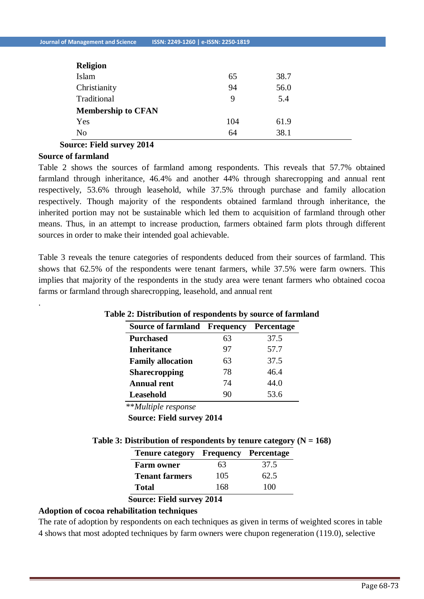| <b>Religion</b>           |     |      |
|---------------------------|-----|------|
| Islam                     | 65  | 38.7 |
| Christianity              | 94  | 56.0 |
| Traditional               | 9   | 5.4  |
| <b>Membership to CFAN</b> |     |      |
| Yes                       | 104 | 61.9 |
| No                        | 64  | 38.1 |

**Source: Field survey 2014** 

#### **Source of farmland**

.

Table 2 shows the sources of farmland among respondents. This reveals that 57.7% obtained farmland through inheritance, 46.4% and another 44% through sharecropping and annual rent respectively, 53.6% through leasehold, while 37.5% through purchase and family allocation respectively. Though majority of the respondents obtained farmland through inheritance, the inherited portion may not be sustainable which led them to acquisition of farmland through other means. Thus, in an attempt to increase production, farmers obtained farm plots through different sources in order to make their intended goal achievable.

Table 3 reveals the tenure categories of respondents deduced from their sources of farmland. This shows that 62.5% of the respondents were tenant farmers, while 37.5% were farm owners. This implies that majority of the respondents in the study area were tenant farmers who obtained cocoa farms or farmland through sharecropping, leasehold, and annual rent

| <b>Source of farmland Frequency</b> |    | <b>Percentage</b> |
|-------------------------------------|----|-------------------|
| <b>Purchased</b>                    | 63 | 37.5              |
| <b>Inheritance</b>                  | 97 | 57.7              |
| <b>Family allocation</b>            | 63 | 37.5              |
| <b>Sharecropping</b>                | 78 | 46.4              |
| <b>Annual rent</b>                  | 74 | 44.0              |
| Leasehold                           | 90 | 53.6              |

## **Table 2: Distribution of respondents by source of farmland**

\*\**Multiple response*

**Source: Field survey 2014**

| Table 3: Distribution of respondents by tenure category ( $N = 168$ ) |  |  |  |
|-----------------------------------------------------------------------|--|--|--|
|-----------------------------------------------------------------------|--|--|--|

| <b>Tenure category Frequency Percentage</b> |     |      |
|---------------------------------------------|-----|------|
| <b>Farm owner</b>                           | 63  | 37.5 |
| <b>Tenant farmers</b>                       | 105 | 62.5 |
| <b>Total</b>                                | 168 | 100  |
|                                             |     |      |

#### **Source: Field survey 2014**

## **Adoption of cocoa rehabilitation techniques**

The rate of adoption by respondents on each techniques as given in terms of weighted scores in table 4 shows that most adopted techniques by farm owners were chupon regeneration (119.0), selective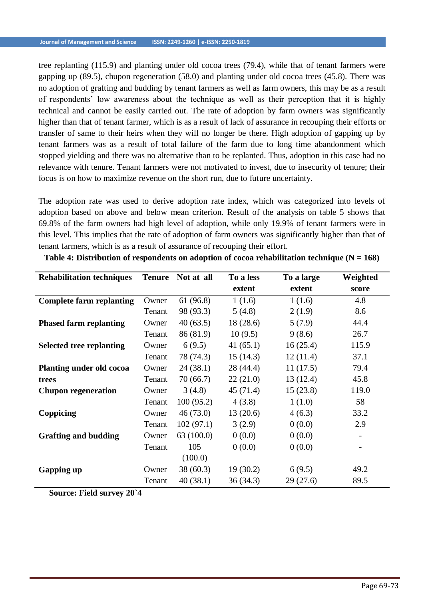tree replanting (115.9) and planting under old cocoa trees (79.4), while that of tenant farmers were gapping up (89.5), chupon regeneration (58.0) and planting under old cocoa trees (45.8). There was no adoption of grafting and budding by tenant farmers as well as farm owners, this may be as a result of respondents' low awareness about the technique as well as their perception that it is highly technical and cannot be easily carried out. The rate of adoption by farm owners was significantly higher than that of tenant farmer, which is as a result of lack of assurance in recouping their efforts or transfer of same to their heirs when they will no longer be there. High adoption of gapping up by tenant farmers was as a result of total failure of the farm due to long time abandonment which stopped yielding and there was no alternative than to be replanted. Thus, adoption in this case had no relevance with tenure. Tenant farmers were not motivated to invest, due to insecurity of tenure; their focus is on how to maximize revenue on the short run, due to future uncertainty.

The adoption rate was used to derive adoption rate index, which was categorized into levels of adoption based on above and below mean criterion. Result of the analysis on table 5 shows that 69.8% of the farm owners had high level of adoption, while only 19.9% of tenant farmers were in this level. This implies that the rate of adoption of farm owners was significantly higher than that of tenant farmers, which is as a result of assurance of recouping their effort.

| <b>Rehabilitation techniques</b> | <b>Tenure</b> | Not at all | To a less | To a large | Weighted |
|----------------------------------|---------------|------------|-----------|------------|----------|
|                                  |               |            | extent    | extent     | score    |
| <b>Complete farm replanting</b>  | Owner         | 61 (96.8)  | 1(1.6)    | 1(1.6)     | 4.8      |
|                                  | Tenant        | 98 (93.3)  | 5(4.8)    | 2(1.9)     | 8.6      |
| <b>Phased farm replanting</b>    | Owner         | 40(63.5)   | 18(28.6)  | 5(7.9)     | 44.4     |
|                                  | Tenant        | 86 (81.9)  | 10(9.5)   | 9(8.6)     | 26.7     |
| <b>Selected tree replanting</b>  | Owner         | 6(9.5)     | 41(65.1)  | 16(25.4)   | 115.9    |
|                                  | Tenant        | 78 (74.3)  | 15(14.3)  | 12(11.4)   | 37.1     |
| <b>Planting under old cocoa</b>  | Owner         | 24(38.1)   | 28 (44.4) | 11(17.5)   | 79.4     |
| trees                            | Tenant        | 70 (66.7)  | 22(21.0)  | 13(12.4)   | 45.8     |
| <b>Chupon regeneration</b>       | Owner         | 3(4.8)     | 45(71.4)  | 15(23.8)   | 119.0    |
|                                  | Tenant        | 100(95.2)  | 4(3.8)    | 1(1.0)     | 58       |
| Coppicing                        | Owner         | 46(73.0)   | 13(20.6)  | 4(6.3)     | 33.2     |
|                                  | Tenant        | 102(97.1)  | 3(2.9)    | 0(0.0)     | 2.9      |
| <b>Grafting and budding</b>      | Owner         | 63(100.0)  | 0(0.0)    | 0(0.0)     |          |
|                                  | Tenant        | 105        | 0(0.0)    | 0(0.0)     |          |
|                                  |               | (100.0)    |           |            |          |
| <b>Gapping up</b>                | Owner         | 38 (60.3)  | 19(30.2)  | 6(9.5)     | 49.2     |
|                                  | Tenant        | 40(38.1)   | 36(34.3)  | 29(27.6)   | 89.5     |

**Table 4: Distribution of respondents on adoption of cocoa rehabilitation technique (N = 168)**

**Source: Field survey 20`4**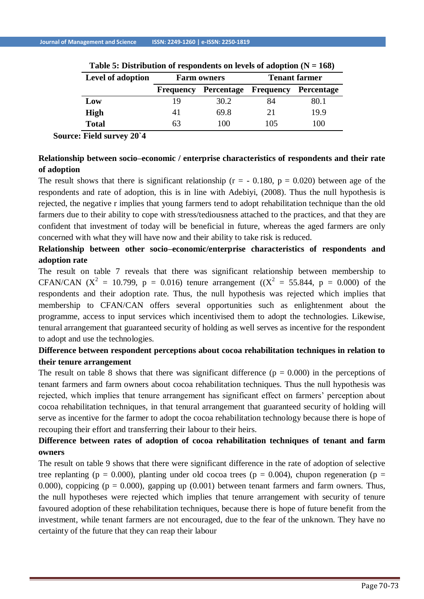| Level of adoption |                  | <b>Farm owners</b>              | <b>Tenant farmer</b> |      |  |
|-------------------|------------------|---------------------------------|----------------------|------|--|
|                   | <b>Frequency</b> | Percentage Frequency Percentage |                      |      |  |
| Low               | 19               | 30.2                            | 84                   | 80.1 |  |
| <b>High</b>       | 41               | 69.8                            | 21                   | 19.9 |  |
| <b>Total</b>      | 63               | 100                             | 105                  | 100  |  |

**Table 5: Distribution of respondents on levels of adoption (N = 168)**

**Source: Field survey 20`4**

## **Relationship between socio–economic / enterprise characteristics of respondents and their rate of adoption**

The result shows that there is significant relationship ( $r = -0.180$ ,  $p = 0.020$ ) between age of the respondents and rate of adoption, this is in line with Adebiyi, (2008). Thus the null hypothesis is rejected, the negative r implies that young farmers tend to adopt rehabilitation technique than the old farmers due to their ability to cope with stress/tediousness attached to the practices, and that they are confident that investment of today will be beneficial in future, whereas the aged farmers are only concerned with what they will have now and their ability to take risk is reduced.

# **Relationship between other socio–economic/enterprise characteristics of respondents and adoption rate**

The result on table 7 reveals that there was significant relationship between membership to CFAN/CAN  $(X^2 = 10.799, p = 0.016)$  tenure arrangement  $((X^2 = 55.844, p = 0.000)$  of the respondents and their adoption rate. Thus, the null hypothesis was rejected which implies that membership to CFAN/CAN offers several opportunities such as enlightenment about the programme, access to input services which incentivised them to adopt the technologies. Likewise, tenural arrangement that guaranteed security of holding as well serves as incentive for the respondent to adopt and use the technologies.

# **Difference between respondent perceptions about cocoa rehabilitation techniques in relation to their tenure arrangement**

The result on table 8 shows that there was significant difference ( $p = 0.000$ ) in the perceptions of tenant farmers and farm owners about cocoa rehabilitation techniques. Thus the null hypothesis was rejected, which implies that tenure arrangement has significant effect on farmers' perception about cocoa rehabilitation techniques, in that tenural arrangement that guaranteed security of holding will serve as incentive for the farmer to adopt the cocoa rehabilitation technology because there is hope of recouping their effort and transferring their labour to their heirs.

# **Difference between rates of adoption of cocoa rehabilitation techniques of tenant and farm owners**

The result on table 9 shows that there were significant difference in the rate of adoption of selective tree replanting ( $p = 0.000$ ), planting under old cocoa trees ( $p = 0.004$ ), chupon regeneration ( $p =$ 0.000), coppicing ( $p = 0.000$ ), gapping up (0.001) between tenant farmers and farm owners. Thus, the null hypotheses were rejected which implies that tenure arrangement with security of tenure favoured adoption of these rehabilitation techniques, because there is hope of future benefit from the investment, while tenant farmers are not encouraged, due to the fear of the unknown. They have no certainty of the future that they can reap their labour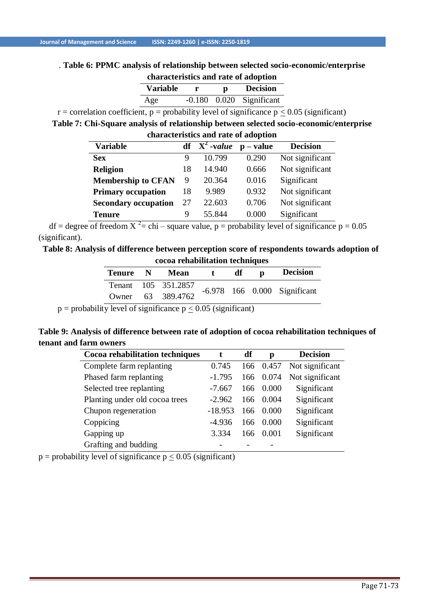#### . **Table 6: PPMC analysis of relationship between selected socio-economic/enterprise characteristics and rate of adoption**

| Characteristics and rate of adoption |              |              |                              |  |  |  |
|--------------------------------------|--------------|--------------|------------------------------|--|--|--|
| <b>Variable</b>                      | $\mathbf{r}$ | $\mathbf{p}$ | <b>Decision</b>              |  |  |  |
| Age                                  |              |              | $-0.180$ $0.020$ Significant |  |  |  |

r = correlation coefficient, p = probability level of significance  $p \le 0.05$  (significant)

**Table 7: Chi-Square analysis of relationship between selected socio-economic/enterprise** 

| characteristics and rate of adoption |    |                   |                               |                 |  |  |  |
|--------------------------------------|----|-------------------|-------------------------------|-----------------|--|--|--|
| <b>Variable</b>                      |    | $df \ X^2$ -value | $\mathbf{p} - \mathbf{value}$ | <b>Decision</b> |  |  |  |
| <b>Sex</b>                           | 9  | 10.799            | 0.290                         | Not significant |  |  |  |
| <b>Religion</b>                      | 18 | 14.940            | 0.666                         | Not significant |  |  |  |
| <b>Membership to CFAN</b>            | 9  | 20.364            | 0.016                         | Significant     |  |  |  |
| <b>Primary occupation</b>            | 18 | 9.989             | 0.932                         | Not significant |  |  |  |
| <b>Secondary occupation</b>          | 27 | 22.603            | 0.706                         | Not significant |  |  |  |
| <b>Tenure</b>                        | 9  | 55.844            | 0.000                         | Significant     |  |  |  |

df = degree of freedom  $X^2$  = chi – square value, p = probability level of significance p = 0.05 (significant).

**Table 8: Analysis of difference between perception score of respondents towards adoption of cocoa rehabilitation techniques**

| Tenure N | Mean                |                              | df | D | <b>Decision</b> |
|----------|---------------------|------------------------------|----|---|-----------------|
|          | Tenant 105 351.2857 | -6.978 166 0.000 Significant |    |   |                 |
| Owner    | 63 389.4762         |                              |    |   |                 |

 $p =$  probability level of significance  $p \le 0.05$  (significant)

## **Table 9: Analysis of difference between rate of adoption of cocoa rehabilitation techniques of tenant and farm owners**

| Cocoa rehabilitation techniques | t         | df  | p     | <b>Decision</b> |
|---------------------------------|-----------|-----|-------|-----------------|
| Complete farm replanting        | 0.745     | 166 | 0.457 | Not significant |
| Phased farm replanting          | $-1.795$  | 166 | 0.074 | Not significant |
| Selected tree replanting        | $-7.667$  | 166 | 0.000 | Significant     |
| Planting under old cocoa trees  | $-2.962$  | 166 | 0.004 | Significant     |
| Chupon regeneration             | $-18.953$ | 166 | 0.000 | Significant     |
| Coppicing                       | $-4.936$  | 166 | 0.000 | Significant     |
| Gapping up                      | 3.334     | 166 | 0.001 | Significant     |
| Grafting and budding            |           |     |       |                 |

 $p = probability$  level of significance  $p < 0.05$  (significant)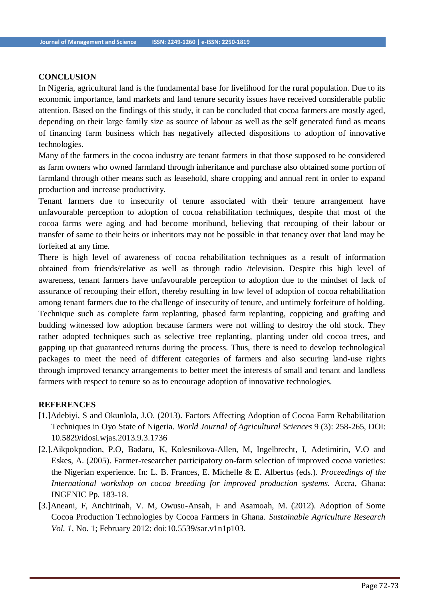#### **CONCLUSION**

In Nigeria, agricultural land is the fundamental base for livelihood for the rural population. Due to its economic importance, land markets and land tenure security issues have received considerable public attention. Based on the findings of this study, it can be concluded that cocoa farmers are mostly aged, depending on their large family size as source of labour as well as the self generated fund as means of financing farm business which has negatively affected dispositions to adoption of innovative technologies.

Many of the farmers in the cocoa industry are tenant farmers in that those supposed to be considered as farm owners who owned farmland through inheritance and purchase also obtained some portion of farmland through other means such as leasehold, share cropping and annual rent in order to expand production and increase productivity.

Tenant farmers due to insecurity of tenure associated with their tenure arrangement have unfavourable perception to adoption of cocoa rehabilitation techniques, despite that most of the cocoa farms were aging and had become moribund, believing that recouping of their labour or transfer of same to their heirs or inheritors may not be possible in that tenancy over that land may be forfeited at any time.

There is high level of awareness of cocoa rehabilitation techniques as a result of information obtained from friends/relative as well as through radio /television. Despite this high level of awareness, tenant farmers have unfavourable perception to adoption due to the mindset of lack of assurance of recouping their effort, thereby resulting in low level of adoption of cocoa rehabilitation among tenant farmers due to the challenge of insecurity of tenure, and untimely forfeiture of holding. Technique such as complete farm replanting, phased farm replanting, coppicing and grafting and budding witnessed low adoption because farmers were not willing to destroy the old stock. They rather adopted techniques such as selective tree replanting, planting under old cocoa trees, and gapping up that guaranteed returns during the process. Thus, there is need to develop technological packages to meet the need of different categories of farmers and also securing land-use rights through improved tenancy arrangements to better meet the interests of small and tenant and landless farmers with respect to tenure so as to encourage adoption of innovative technologies.

#### **REFERENCES**

- [1.]Adebiyi, S and Okunlola, J.O. (2013). Factors Affecting Adoption of Cocoa Farm Rehabilitation Techniques in Oyo State of Nigeria. *World Journal of Agricultural Sciences* 9 (3): 258-265, DOI: 10.5829/idosi.wjas.2013.9.3.1736
- [2.].Aikpokpodion, P.O, Badaru, K, Kolesnikova-Allen, M, Ingelbrecht, I, Adetimirin, V.O and Eskes, A. (2005). Farmer-researcher participatory on-farm selection of improved cocoa varieties: the Nigerian experience. In: L. B. Frances, E. Michelle & E. Albertus (eds.). *Proceedings of the International workshop on cocoa breeding for improved production systems.* Accra, Ghana: INGENIC Pp. 183-18.
- [3.]Aneani, F, Anchirinah, V. M, Owusu-Ansah, F and Asamoah, M. (2012). Adoption of Some Cocoa Production Technologies by Cocoa Farmers in Ghana. *Sustainable Agriculture Research Vol. 1*, No. 1; February 2012: doi:10.5539/sar.v1n1p103.